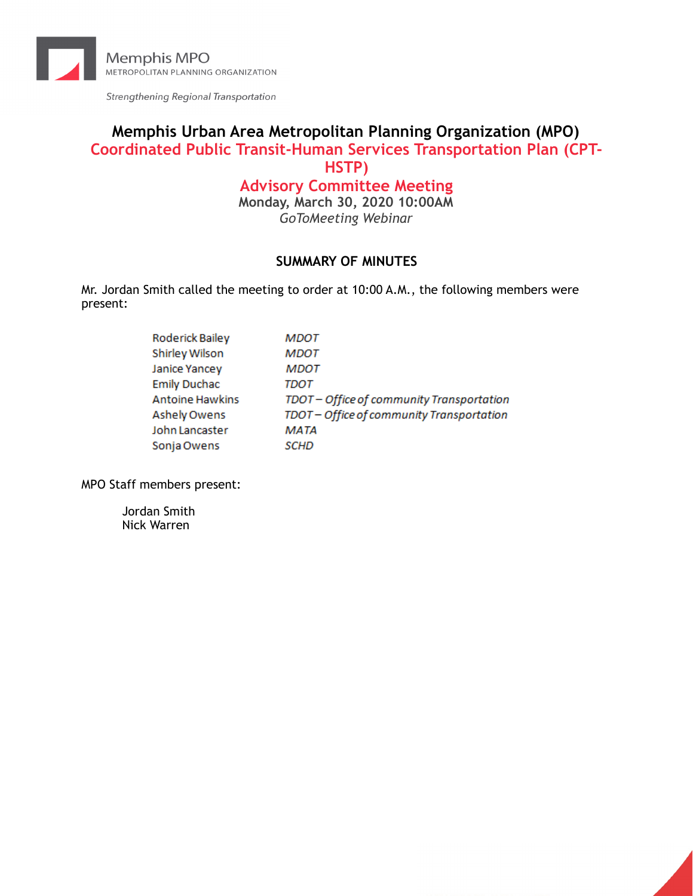

Strengthening Regional Transportation

## **Memphis Urban Area Metropolitan Planning Organization (MPO) Coordinated Public Transit-Human Services Transportation Plan (CPT-HSTP)**

# **Advisory Committee Meeting**

**Monday, March 30, 2020 10:00AM**  *GoToMeeting Webinar* 

## **SUMMARY OF MINUTES**

Mr. Jordan Smith called the meeting to order at 10:00 A.M., the following members were present:

| Roderick Bailey        | MDOT                                      |
|------------------------|-------------------------------------------|
| Shirley Wilson         | <b>MDOT</b>                               |
| Janice Yancey          | <b>MDOT</b>                               |
| <b>Emily Duchac</b>    | TDOT                                      |
| <b>Antoine Hawkins</b> | TDOT - Office of community Transportation |
| <b>Ashely Owens</b>    | TDOT - Office of community Transportation |
| John Lancaster         | MATA                                      |
| Sonja Owens            | SCHD                                      |

MPO Staff members present:

Jordan Smith Nick Warren

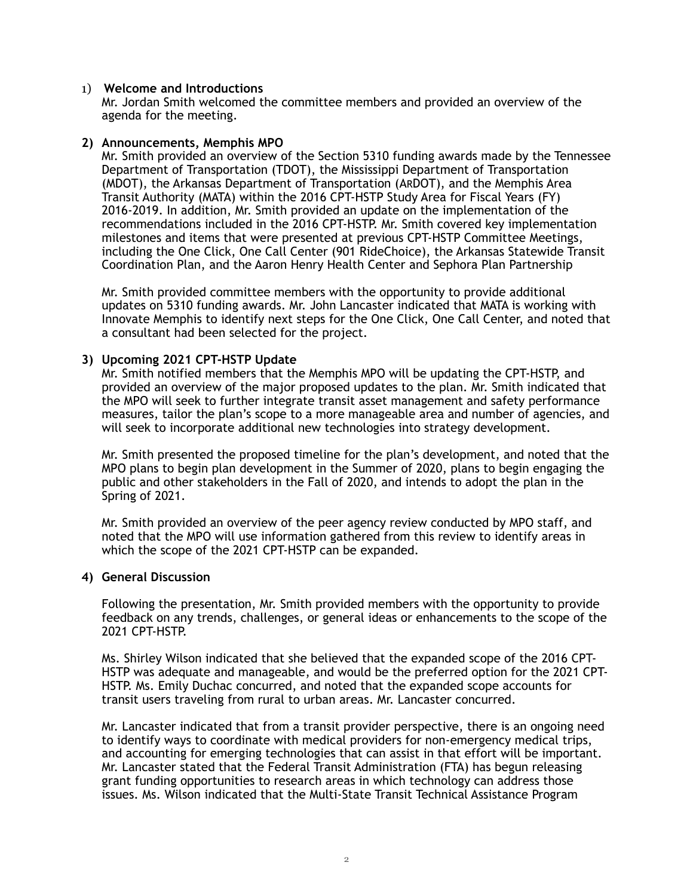#### 1) **Welcome and Introductions**

Mr. Jordan Smith welcomed the committee members and provided an overview of the agenda for the meeting.

#### **2) Announcements, Memphis MPO**

Mr. Smith provided an overview of the Section 5310 funding awards made by the Tennessee Department of Transportation (TDOT), the Mississippi Department of Transportation (MDOT), the Arkansas Department of Transportation (ARDOT), and the Memphis Area Transit Authority (MATA) within the 2016 CPT-HSTP Study Area for Fiscal Years (FY) 2016-2019. In addition, Mr. Smith provided an update on the implementation of the recommendations included in the 2016 CPT-HSTP. Mr. Smith covered key implementation milestones and items that were presented at previous CPT-HSTP Committee Meetings, including the One Click, One Call Center (901 RideChoice), the Arkansas Statewide Transit Coordination Plan, and the Aaron Henry Health Center and Sephora Plan Partnership

Mr. Smith provided committee members with the opportunity to provide additional updates on 5310 funding awards. Mr. John Lancaster indicated that MATA is working with Innovate Memphis to identify next steps for the One Click, One Call Center, and noted that a consultant had been selected for the project.

#### **3) Upcoming 2021 CPT-HSTP Update**

Mr. Smith notified members that the Memphis MPO will be updating the CPT-HSTP, and provided an overview of the major proposed updates to the plan. Mr. Smith indicated that the MPO will seek to further integrate transit asset management and safety performance measures, tailor the plan's scope to a more manageable area and number of agencies, and will seek to incorporate additional new technologies into strategy development.

Mr. Smith presented the proposed timeline for the plan's development, and noted that the MPO plans to begin plan development in the Summer of 2020, plans to begin engaging the public and other stakeholders in the Fall of 2020, and intends to adopt the plan in the Spring of 2021.

Mr. Smith provided an overview of the peer agency review conducted by MPO staff, and noted that the MPO will use information gathered from this review to identify areas in which the scope of the 2021 CPT-HSTP can be expanded.

#### **4) General Discussion**

Following the presentation, Mr. Smith provided members with the opportunity to provide feedback on any trends, challenges, or general ideas or enhancements to the scope of the 2021 CPT-HSTP.

Ms. Shirley Wilson indicated that she believed that the expanded scope of the 2016 CPT-HSTP was adequate and manageable, and would be the preferred option for the 2021 CPT-HSTP. Ms. Emily Duchac concurred, and noted that the expanded scope accounts for transit users traveling from rural to urban areas. Mr. Lancaster concurred.

Mr. Lancaster indicated that from a transit provider perspective, there is an ongoing need to identify ways to coordinate with medical providers for non-emergency medical trips, and accounting for emerging technologies that can assist in that effort will be important. Mr. Lancaster stated that the Federal Transit Administration (FTA) has begun releasing grant funding opportunities to research areas in which technology can address those issues. Ms. Wilson indicated that the Multi-State Transit Technical Assistance Program